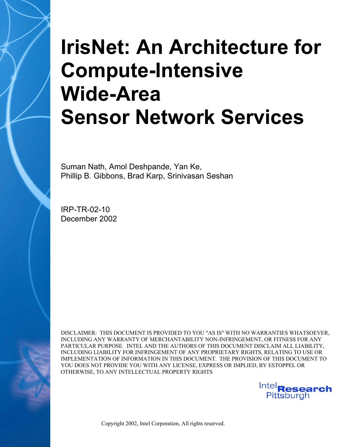# **IrisNet: An Architecture for Compute-Intensive Wide-Area Sensor Network Services**

Suman Nath, Amol Deshpande, Yan Ke, Phillip B. Gibbons, Brad Karp, Srinivasan Seshan

IRP-TR-02-10 December 2002

DISCLAIMER: THIS DOCUMENT IS PROVIDED TO YOU "AS IS" WITH NO WARRANTIES WHATSOEVER, INCLUDING ANY WARRANTY OF MERCHANTABILITY NON-INFRINGEMENT, OR FITNESS FOR ANY PARTICULAR PURPOSE. INTEL AND THE AUTHORS OF THIS DOCUMENT DISCLAIM ALL LIABILITY, INCLUDING LIABILITY FOR INFRINGEMENT OF ANY PROPRIETARY RIGHTS, RELATING TO USE OR IMPLEMENTATION OF INFORMATION IN THIS DOCUMENT. THE PROVISION OF THIS DOCUMENT TO YOU DOES NOT PROVIDE YOU WITH ANY LICENSE, EXPRESS OR IMPLIED, BY ESTOPPEL OR OTHERWISE, TO ANY INTELLECTUAL PROPERTY RIGHTS

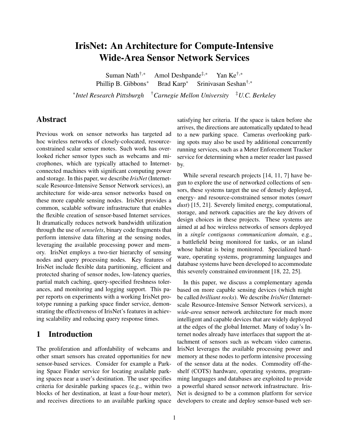# **IrisNet: An Architecture for Compute-Intensive Wide-Area Sensor Network Services**

Suman Nath<sup>†,∗</sup> Amol Deshpande<sup>‡,</sup>\* Yan Ke<sup>†,∗</sup> Phillip B. Gibbons<sup>∗</sup> Brad Karp<sup>∗</sup> Srinivasan Seshan†,<sup>∗</sup>

∗ *Intel Research Pittsburgh* †*Carnegie Mellon University* ‡*U.C. Berkeley*

## **Abstract**

Previous work on sensor networks has targeted ad hoc wireless networks of closely-colocated, resourceconstrained scalar sensor motes. Such work has overlooked richer sensor types such as webcams and microphones, which are typically attached to Internetconnected machines with significant computing power and storage. In this paper, we describe *IrisNet* (Internetscale Resource-Intensive Sensor Network services), an architecture for wide-area sensor networks based on these more capable sensing nodes. IrisNet provides a common, scalable software infrastructure that enables the flexible creation of sensor-based Internet services. It dramatically reduces network bandwidth utilization through the use of *senselets*, binary code fragments that perform intensive data filtering at the sensing nodes, leveraging the available processing power and memory. IrisNet employs a two-tier hierarchy of sensing nodes and query processing nodes. Key features of IrisNet include flexible data partitioning, efficient and protected sharing of sensor nodes, low-latency queries, partial match caching, query-specified freshness tolerances, and monitoring and logging support. This paper reports on experiments with a working IrisNet prototype running a parking space finder service, demonstrating the effectiveness of IrisNet's features in achieving scalability and reducing query response times.

# **1 Introduction**

The proliferation and affordability of webcams and other smart sensors has created opportunities for new sensor-based services. Consider for example a Parking Space Finder service for locating available parking spaces near a user's destination. The user specifies criteria for desirable parking spaces (e.g., within two blocks of her destination, at least a four-hour meter), and receives directions to an available parking space

satisfying her criteria. If the space is taken before she arrives, the directions are automatically updated to head to a new parking space. Cameras overlooking parking spots may also be used by additional concurrently running services, such as a Meter Enforcement Tracker service for determining when a meter reader last passed by.

While several research projects [14, 11, 7] have begun to explore the use of networked collections of sensors, these systems target the use of densely deployed, energy- and resource-constrained sensor motes (*smart dust*) [15, 21]. Severely limited energy, computational, storage, and network capacities are the key drivers of design choices in these projects. These systems are aimed at ad hoc wireless networks of sensors deployed in a *single contiguous communication domain*, e.g., a battlefield being monitored for tanks, or an island whose habitat is being monitored. Specialized hardware, operating systems, programming languages and database systems have been developed to accommodate this severely constrained environment [18, 22, 25].

In this paper, we discuss a complementary agenda based on more capable sensing devices (which might be called *brilliant rocks*). We describe *IrisNet* (Internetscale Resource-Intensive Sensor Network services), a *wide-area* sensor network architecture for much more intelligent and capable devices that are widely deployed at the edges of the global Internet. Many of today's Internet nodes already have interfaces that support the attachment of sensors such as webcam video cameras. IrisNet leverages the available processing power and memory at these nodes to perform intensive processing of the sensor data at the nodes. Commodity off-theshelf (COTS) hardware, operating systems, programming languages and databases are exploited to provide a powerful shared sensor network infrastructure. Iris-Net is designed to be a common platform for service developers to create and deploy sensor-based web ser-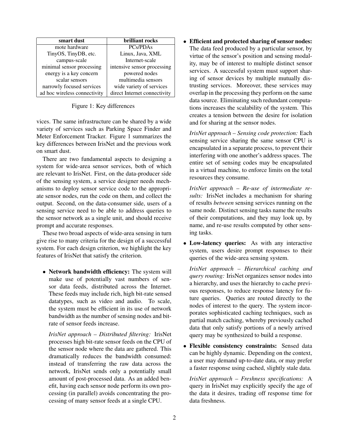| smart dust                   | brilliant rocks              |  |
|------------------------------|------------------------------|--|
| mote hardware                | <b>PCs/PDAs</b>              |  |
| TinyOS, TinyDB, etc.         | Linux, Java, XML             |  |
| campus-scale                 | Internet-scale               |  |
| minimal sensor processing    | intensive sensor processing  |  |
| energy is a key concern      | powered nodes                |  |
| scalar sensors               | multimedia sensors           |  |
| narrowly focused services    | wide variety of services     |  |
| ad hoc wireless connectivity | direct Internet connectivity |  |

Figure 1: Key differences

vices. The same infrastructure can be shared by a wide variety of services such as Parking Space Finder and Meter Enforcement Tracker. Figure 1 summarizes the key differences between IrisNet and the previous work on smart dust.

There are two fundamental aspects to designing a system for wide-area sensor services, both of which are relevant to IrisNet. First, on the data-producer side of the sensing system, a service designer needs mechanisms to deploy sensor service code to the appropriate sensor nodes, run the code on them, and collect the output. Second, on the data-consumer side, users of a sensing service need to be able to address queries to the sensor network as a single unit, and should receive prompt and accurate responses.

These two broad aspects of wide-area sensing in turn give rise to many criteria for the design of a successful system. For each design criterion, we highlight the key features of IrisNet that satisfy the criterion.

• **Network bandwidth efficiency:** The system will make use of potentially vast numbers of sensor data feeds, distributed across the Internet. These feeds may include rich, high bit-rate sensed datatypes, such as video and audio. To scale, the system must be efficient in its use of network bandwidth as the number of sensing nodes and bitrate of sensor feeds increase.

*IrisNet approach – Distributed filtering:* IrisNet processes high bit-rate sensor feeds on the CPU of the sensor node where the data are gathered. This dramatically reduces the bandwidth consumed: instead of transferring the raw data across the network, IrisNet sends only a potentially small amount of post-processed data. As an added benefit, having each sensor node perform its own processing (in parallel) avoids concentrating the processing of many sensor feeds at a single CPU.

• **Efficient** and protected sharing of sensor nodes: The data feed produced by a particular sensor, by virtue of the sensor's position and sensing modality, may be of interest to multiple distinct sensor services. A successful system must support sharing of sensor devices by multiple mutually distrusting services. Moreover, these services may overlap in the processing they perform on the same data source. Eliminating such redundant computations increases the scalability of the system. This creates a tension between the desire for isolation and for sharing at the sensor nodes.

*IrisNet approach – Sensing code protection:* Each sensing service sharing the same sensor CPU is encapsulated in a separate process, to prevent their interfering with one another's address spaces. The entire set of sensing codes may be encapsulated in a virtual machine, to enforce limits on the total resources they consume.

*IrisNet approach – Re-use of intermediate results:* IrisNet includes a mechanism for sharing of results *between* sensing services running on the same node. Distinct sensing tasks name the results of their computations, and they may look up, by name, and re-use results computed by other sensing tasks.

• **Low-latency queries:** As with any interactive system, users desire prompt responses to their queries of the wide-area sensing system.

*IrisNet approach – Hierarchical caching and query routing:* IrisNet organizes sensor nodes into a hierarchy, and uses the hierarchy to cache previous responses, to reduce response latency for future queries. Queries are routed directly to the nodes of interest to the query. The system incorporates sophisticated caching techniques, such as partial match caching, whereby previously cached data that only satisfy portions of a newly arrived query may be synthesized to build a response.

• **Flexible consistency constraints:** Sensed data can be highly dynamic. Depending on the context, a user may demand up-to-date data, or may prefer a faster response using cached, slightly stale data.

*IrisNet approach – Freshness specifications:* A query in IrisNet may explicitly specify the age of the data it desires, trading off response time for data freshness.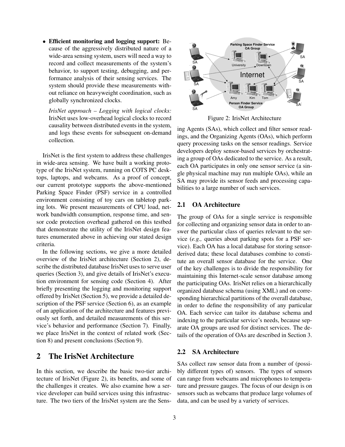• **Efficient monitoring and logging support:** Because of the aggressively distributed nature of a wide-area sensing system, users will need a way to record and collect measurements of the system's behavior, to support testing, debugging, and performance analysis of their sensing services. The system should provide these measurements without reliance on heavyweight coordination, such as globally synchronized clocks.

*IrisNet approach – Logging with logical clocks:* IrisNet uses low-overhead logical clocks to record causality between distributed events in the system, and logs these events for subsequent on-demand collection.

IrisNet is the first system to address these challenges in wide-area sensing. We have built a working prototype of the IrisNet system, running on COTS PC desktops, laptops, and webcams. As a proof of concept, our current prototype supports the above-mentioned Parking Space Finder (PSF) service in a controlled environment consisting of toy cars on tabletop parking lots. We present measurements of CPU load, network bandwidth consumption, response time, and sensor code protection overhead gathered on this testbed that demonstrate the utility of the IrisNet design features enumerated above in achieving our stated design criteria.

In the following sections, we give a more detailed overview of the IrisNet architecture (Section 2), describe the distributed database IrisNet uses to serve user queries (Section 3), and give details of IrisNet's execution environment for sensing code (Section 4). After briefly presenting the logging and monitoring support offered by IrisNet (Section 5), we provide a detailed description of the PSF service (Section 6), as an example of an application of the architecture and features previously set forth, and detailed measurements of this service's behavior and performance (Section 7). Finally, we place IrisNet in the context of related work (Section 8) and present conclusions (Section 9).

# **2 The IrisNet Architecture**

In this section, we describe the basic two-tier architecture of IrisNet (Figure 2), its benefits, and some of the challenges it creates. We also examine how a service developer can build services using this infrastructure. The two tiers of the IrisNet system are the Sens-



Figure 2: IrisNet Architecture

ing Agents (SAs), which collect and filter sensor readings, and the Organizing Agents (OAs), which perform query processing tasks on the sensor readings. Service developers deploy sensor-based services by orchestrating a group of OAs dedicated to the service. As a result, each OA participates in only one sensor service (a single physical machine may run multiple OAs), while an SA may provide its sensor feeds and processing capabilities to a large number of such services.

### **2.1 OA Architecture**

The group of OAs for a single service is responsible for collecting and organizing sensor data in order to answer the particular class of queries relevant to the service (*e.g.,* queries about parking spots for a PSF service). Each OA has a local database for storing sensorderived data; these local databases combine to constitute an overall sensor database for the service. One of the key challenges is to divide the responsibility for maintaining this Internet-scale sensor database among the participating OAs. IrisNet relies on a hierarchically organized database schema (using XML) and on corresponding hierarchical partitions of the overall database, in order to define the responsibility of any particular OA. Each service can tailor its database schema and indexing to the particular service's needs, because separate OA groups are used for distinct services. The details of the operation of OAs are described in Section 3.

#### **2.2 SA Architecture**

SAs collect raw sensor data from a number of (possibly different types of) sensors. The types of sensors can range from webcams and microphones to temperature and pressure gauges. The focus of our design is on sensors such as webcams that produce large volumes of data, and can be used by a variety of services.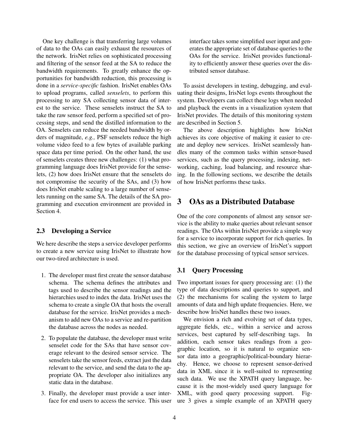One key challenge is that transferring large volumes of data to the OAs can easily exhaust the resources of the network. IrisNet relies on sophisticated processing and filtering of the sensor feed at the SA to reduce the bandwidth requirements. To greatly enhance the opportunities for bandwidth reduction, this processing is done in a *service-specific* fashion. IrisNet enables OAs to upload programs, called *senselets*, to perform this processing to any SA collecting sensor data of interest to the service. These senselets instruct the SA to take the raw sensor feed, perform a specified set of processing steps, and send the distilled information to the OA. Senselets can reduce the needed bandwidth by orders of magnitude, *e.g.,* PSF senselets reduce the high volume video feed to a few bytes of available parking space data per time period. On the other hand, the use of senselets creates three new challenges: (1) what programming language does IrisNet provide for the senselets, (2) how does IrisNet ensure that the senselets do not compromise the security of the SAs, and (3) how does IrisNet enable scaling to a large number of senselets running on the same SA. The details of the SA programming and execution environment are provided in Section 4.

#### **2.3 Developing a Service**

We here describe the steps a service developer performs to create a new service using IrisNet to illustrate how our two-tired architecture is used.

- 1. The developer must first create the sensor database schema. The schema defines the attributes and tags used to describe the sensor readings and the hierarchies used to index the data. IrisNet uses the schema to create a single OA that hosts the overall database for the service. IrisNet provides a mechanism to add new OAs to a service and re-partition the database across the nodes as needed.
- 2. To populate the database, the developer must write senselet code for the SAs that have sensor coverage relevant to the desired sensor service. The senselets take the sensor feeds, extract just the data relevant to the service, and send the data to the appropriate OA. The developer also initializes any static data in the database.
- 3. Finally, the developer must provide a user interface for end users to access the service. This user

interface takes some simplified user input and generates the appropriate set of database queries to the OAs for the service. IrisNet provides functionality to efficiently answer these queries over the distributed sensor database.

To assist developers in testing, debugging, and evaluating their designs, IrisNet logs events throughout the system. Developers can collect these logs when needed and playback the events in a visualization system that IrisNet provides. The details of this monitoring system are described in Section 5.

The above description highlights how IrisNet achieves its core objective of making it easier to create and deploy new services. IrisNet seamlessly handles many of the common tasks within sensor-based services, such as the query processing, indexing, networking, caching, load balancing, and resource sharing. In the following sections, we describe the details of how IrisNet performs these tasks.

# **3 OAs as a Distributed Database**

One of the core components of almost any sensor service is the ability to make queries about relevant sensor readings. The OAs within IrisNet provide a simple way for a service to incorporate support for rich queries. In this section, we give an overview of IrisNet's support for the database processing of typical sensor services.

#### **3.1 Query Processing**

Two important issues for query processing are: (1) the type of data descriptions and queries to support, and (2) the mechanisms for scaling the system to large amounts of data and high update frequencies. Here, we describe how IrisNet handles these two issues.

We envision a rich and evolving set of data types, aggregate fields, etc., within a service and across services, best captured by self-describing tags. In addition, each sensor takes readings from a geographic location, so it is natural to organize sensor data into a geographic/political-boundary hierarchy. Hence, we choose to represent sensor-derived data in XML since it is well-suited to representing such data. We use the XPATH query language, because it is the most-widely used query language for XML, with good query processing support. Figure 3 gives a simple example of an XPATH query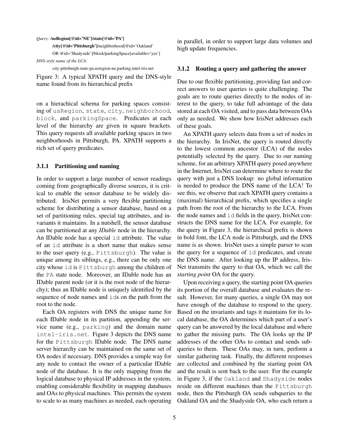#### *Query:* **/usRegion[@id='NE']/state[@id='PA']**

**/city[@id='Pittsburgh']**/neighborhood[@id='Oakland'

OR @id='Shadyside']/block/parkingSpace[available='yes'] *DNS-style name of the LCA:*

city-pittsburgh.state-pa.usregion-ne.parking.intel-iris.net

Figure 3: A typical XPATH query and the DNS-style name found from its hierarchical prefix

on a hierachical schema for parking spaces consisting of usRegion, state, city, neighborhood, block, and parkingSpace. Predicates at each level of the hierarchy are given in square brackets. This query requests all available parking spaces in two neighborhoods in Pittsburgh, PA. XPATH supports a rich set of query predicates.

#### **3.1.1 Partitioning and naming**

In order to support a large number of sensor readings coming from geographically diverse sources, it is critical to enable the sensor database to be widely distributed. IrisNet permits a very flexible partitioning scheme for distributing a sensor database, based on a set of partitioning rules, special tag attributes, and invariants it maintains. In a nutshell, the sensor database can be partitioned at any *IDable* node in the hierarchy. An IDable node has a special id attribute. The value of an id attribute is a short name that makes sense to the user query (e.g., Pittsburgh). The value is unique among its siblings, e.g., there can be only one city whose id is Pittsburgh among the children of the PA state node. Moreover, an IDable node has an IDable parent node (or it is the root node of the hierarchy); thus an IDable node is uniquely identified by the sequence of node names and ids on the path from the root to the node.

Each OA registers with DNS the unique name for each IDable node in its partition, appending the service name (e.g., parking) and the domain name intel-iris.net. Figure 3 depicts the DNS name for the Pittsburgh IDable node. The DNS name server hierarchy can be maintained on the same set of OA nodes if necessary. DNS provides a simple way for any node to contact the owner of a particular IDable node of the database. It is the only mapping from the logical database to physical IP addresses in the system, enabling considerable flexibility in mapping databases and OAs to physical machines. This permits the system to scale to as many machines as needed, each operating in parallel, in order to support large data volumes and high update frequencies.

#### **3.1.2 Routing a query and gathering the answer**

Due to our flexible partitioning, providing fast and correct answers to user queries is quite challenging. The goals are to route queries directly to the nodes of interest to the query, to take full advantage of the data stored at each OA visited, and to pass data between OAs only as needed. We show how IrisNet addresses each of these goals.

An XPATH query selects data from a set of nodes in the hierarchy. In IrisNet, the query is routed directly to the lowest common ancestor (LCA) of the nodes potentially selected by the query. Due to our naming scheme, for an arbitrary XPATH query posed anywhere in the Internet, IrisNet can determine where to route the query with just a DNS lookup: no global information is needed to produce the DNS name of the LCA! To see this, we observe that each XPATH query contains a (maximal) hierarchical prefix, which specifies a single path from the root of the hierarchy to the LCA. From the node names and id fields in the query, IrisNet constructs the DNS name for the LCA. For example, for the query in Figure 3, the hierarchical prefix is shown in bold font, the LCA node is Pittsburgh, and the DNS name is as shown. IrisNet uses a simple parser to scan the query for a sequence of id predicates, and create the DNS name. After looking up the IP address, Iris-Net transmits the query to that OA, which we call the *starting point* OA for the query.

Upon receiving a query, the starting point OA queries its portion of the overall database and evaluates the result. However, for many queries, a single OA may not have enough of the database to respond to the query. Based on the invariants and tags it maintains for its local database, the OA determines which part of a user's query can be answered by the local database and where to gather the missing parts. The OA looks up the IP addresses of the other OAs to contact and sends subqueries to them. These OAs may, in turn, perform a similar gathering task. Finally, the different responses are collected and combined by the starting point OA and the result is sent back to the user. For the example in Figure 3, if the Oakland and Shadyside nodes reside on different machines than the Pittsburgh node, then the Pittsburgh OA sends subqueries to the Oakland OA and the Shadyside OA, who each return a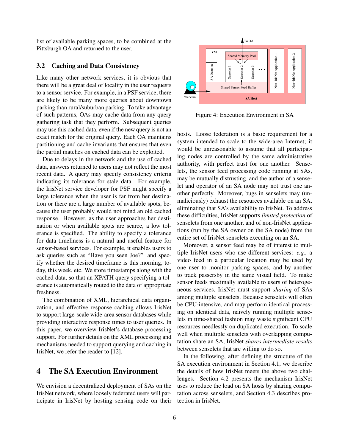list of available parking spaces, to be combined at the Pittsburgh OA and returned to the user.

#### **3.2 Caching and Data Consistency**

Like many other network services, it is obvious that there will be a great deal of locality in the user requests to a sensor service. For example, in a PSF service, there are likely to be many more queries about downtown parking than rural/suburban parking. To take advantage of such patterns, OAs may cache data from any query gathering task that they perform. Subsequent queries may use this cached data, even if the new query is not an exact match for the original query. Each OA maintains partitioning and cache invariants that ensures that even the partial matches on cached data can be exploited.

Due to delays in the network and the use of cached data, answers returned to users may not reflect the most recent data. A query may specify consistency criteria indicating its tolerance for stale data. For example, the IrisNet service developer for PSF might specify a large tolerance when the user is far from her destination or there are a large number of available spots, because the user probably would not mind an old cached response. However, as the user approaches her destination or when available spots are scarce, a low tolerance is specified. The ability to specify a tolerance for data timeliness is a natural and useful feature for sensor-based services. For example, it enables users to ask queries such as "Have you seen Joe?" and specify whether the desired timeframe is this morning, today, this week, etc. We store timestamps along with the cached data, so that an XPATH query specifying a tolerance is automatically routed to the data of appropriate freshness.

The combination of XML, hierarchical data organization, and effective response caching allows IrisNet to support large-scale wide-area sensor databases while providing interactive response times to user queries. In this paper, we overview IrisNet's database processing support. For further details on the XML processing and mechanisms needed to support querying and caching in IrisNet, we refer the reader to [12].

# **4 The SA Execution Environment**

We envision a decentralized deployment of SAs on the IrisNet network, where loosely federated users will participate in IrisNet by hosting sensing code on their



Figure 4: Execution Environment in SA

hosts. Loose federation is a basic requirement for a system intended to scale to the wide-area Internet; it would be unreasonable to assume that all participating nodes are controlled by the same administrative authority, with perfect trust for one another. Senselets, the sensor feed processing code running at SAs, may be mutually distrusting, and the author of a senselet and operator of an SA node may not trust one another perfectly. Moreover, bugs in senselets may (unmaliciously) exhaust the resources available on an SA, eliminating that SA's availability to IrisNet. To address these difficulties, IrisNet supports *limited protection* of senselets from one another, and of non-IrisNet applications (run by the SA owner on the SA node) from the entire set of IrisNet senselets executing on an SA.

Moreover, a sensor feed may be of interest to multiple IrisNet users who use different services: *e.g.,* a video feed in a particular location may be used by one user to monitor parking spaces, and by another to track passersby in the same visual field. To make sensor feeds maximally available to users of heterogeneous services, IrisNet must support *sharing* of SAs among multiple senselets. Because senselets will often be CPU-intensive, and may perform identical processing on identical data, naively running multiple senselets in time-shared fashion may waste significant CPU resources needlessly on duplicated execution. To scale well when multiple senselets with overlapping computation share an SA, IrisNet *shares intermediate results* between senselets that are willing to do so.

In the following, after defining the structure of the SA execution environment in Section 4.1, we describe the details of how IrisNet meets the above two challenges. Section 4.2 presents the mechanism IrisNet uses to reduce the load on SA hosts by sharing computation across senselets, and Section 4.3 describes protection in IrisNet.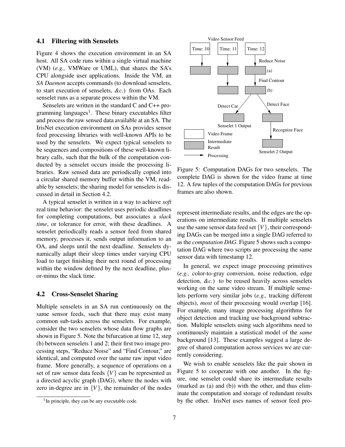#### **4.1 Filtering with Senselets**

Figure 4 shows the execution environment in an SA host. All SA code runs within a single virtual machine (VM) (*e.g.,* VMWare or UML), that shares the SA's CPU alongside user applications. Inside the VM, an *SA Daemon* accepts commands (to download senselets, to start execution of senselets, *&c.*) from OAs. Each senselet runs as a separate process within the VM.

Senselets are written in the standard C and C++ programming languages<sup>1</sup>. These binary executables filter and process the raw sensed data available at an SA. The IrisNet execution environment on SAs provides sensor feed processing libraries with well-known APIs to be used by the senselets. We expect typical senselets to be sequences and compositions of these well-known library calls, such that the bulk of the computation conducted by a senselet occurs inside the processing libraries. Raw sensed data are periodically copied into a circular shared memory buffer within the VM, readable by senselets; the sharing model for senselets is discussed in detail in Section 4.2.

A typical senselet is written in a way to achieve *soft* real time behavior: the senselet uses periodic deadlines for completing computations, but associates a *slack time*, or tolerance for error, with these deadlines. A senselet periodically reads a sensor feed from shared memory, processes it, sends output information to an OA, and sleeps until the next deadline. Senselets dynamically adapt their sleep times under varying CPU load to target finishing their next round of processing within the window defined by the next deadline, plusor-minus the slack time.

#### **4.2 Cross-Senselet Sharing**

Multiple senselets in an SA run continuously on the same sensor feeds, such that there may exist many common sub-tasks across the senselets. For example, consider the two senselets whose data flow graphs are shown in Figure 5. Note the bifurcation at time 12, step (b) between senselets 1 and 2; their first two image processing steps, "Reduce Noise" and "Find Contour," are identical, and computed over the same raw input video frame. More generally, a sequence of operations on a set of raw sensor data feeds {*V*} can be represented as a directed acyclic graph (DAG), where the nodes with zero in-degree are in  ${V}$ , the remainder of the nodes



Figure 5: Computation DAGs for two senselets. The complete DAG is shown for the video frame at time 12. A few tuples of the computation DAGs for previous frames are also shown.

represent intermediate results, and the edges are the operations on intermediate results. If multiple senselets use the same sensor data feed set {*V*}, their corresponding DAGs can be merged into a single DAG referred to as the *computation DAG*. Figure 5 shows such a computation DAG where two scripts are processing the same sensor data with timestamp 12.

In general, we expect image processing primitives (*e.g.,* color-to-gray conversion, noise reduction, edge detection, *&c.*) to be reused heavily across senselets working on the same video stream. If multiple senselets perform very similar jobs (*e.g.,* tracking different objects), *most* of their processing would overlap [16]. For example, many image processing algorithms for object detection and tracking use background subtraction. Multiple senselets using such algorithms need to continuously maintain a statistical model of the *same* background [13]. These examples suggest a large degree of shared computation across services we are currently considering.

We wish to enable senselets like the pair shown in Figure 5 to cooperate with one another. In the figure, one senselet could share its intermediate results (marked as (a) and (b)) with the other, and thus eliminate the computation and storage of redundant results by the other. IrisNet uses names of sensor feed pro-

<sup>&</sup>lt;sup>1</sup>In principle, they can be any executable code.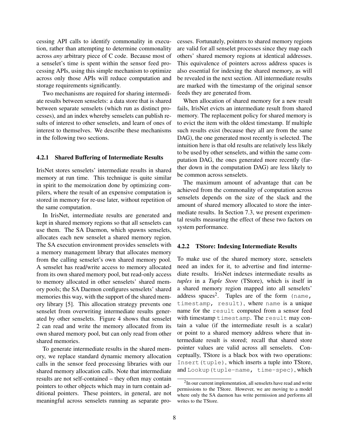cessing API calls to identify commonality in execution, rather than attempting to determine commonality across *any* arbitrary piece of C code. Because most of a senselet's time is spent within the sensor feed processing APIs, using this simple mechanism to optimize across only those APIs will reduce computation and storage requirements significantly.

Two mechanisms are required for sharing intermediate results between senselets: a data store that is shared between separate senselets (which run as distinct processes), and an index whereby senselets can publish results of interest to other senselets, and learn of ones of interest to themselves. We describe these mechanisms in the following two sections.

#### **4.2.1 Shared Buffering of Intermediate Results**

IrisNet stores senselets' intermediate results in shared memory at run time. This technique is quite similar in spirit to the memoization done by optimizing compilers, where the result of an expensive computation is stored in memory for re-use later, without repetition of the same computation.

In IrisNet, intermediate results are generated and kept in shared memory regions so that all senselets can use them. The SA Daemon, which spawns senselets, allocates each new senselet a shared memory region. The SA execution environment provides senselets with a memory management library that allocates memory from the calling senselet's own shared memory pool. A senselet has read/write access to memory allocated from its own shared memory pool, but read-only access to memory allocated in other senselets' shared memory pools; the SA Daemon configures senselets' shared memories this way, with the support of the shared memory library [5]. This allocation strategy prevents one senselet from overwriting intermediate results generated by other senselets. Figure 4 shows that senselet 2 can read and write the memory allocated from its own shared memory pool, but can only read from other shared memories.

To generate intermediate results in the shared memory, we replace standard dynamic memory allocation calls in the sensor feed processing libraries with our shared memory allocation calls. Note that intermediate results are not self-contained – they often may contain pointers to other objects which may in turn contain additional pointers. These pointers, in general, are not meaningful across senselets running as separate processes. Fortunately, pointers to shared memory regions are valid for all senselet processes since they map each others' shared memory regions at identical addresses. This equivalence of pointers across address spaces is also essential for indexing the shared memory, as will be revealed in the next section. All intermediate results are marked with the timestamp of the original sensor feeds they are generated from.

When allocation of shared memory for a new result fails, IrisNet evicts an intermediate result from shared memory. The replacement policy for shared memory is to evict the item with the oldest timestamp. If multiple such results exist (because they all are from the same DAG), the one generated most recently is selected. The intuition here is that old results are relatively less likely to be used by other senselets, and within the same computation DAG, the ones generated more recently (farther down in the computation DAG) are less likely to be common across senselets.

The maximum amount of advantage that can be achieved from the commonality of computation across senselets depends on the size of the slack and the amount of shared memory allocated to store the intermediate results. In Section 7.3, we present experimental results measuring the effect of these two factors on system performance.

#### **4.2.2 TStore: Indexing Intermediate Results**

To make use of the shared memory store, senselets need an index for it, to advertise and find intermediate results. IrisNet indexes intermediate results as *tuples* in a *Tuple Store* (TStore), which is itself in a shared memory region mapped into all senselets' address spaces<sup>2</sup>. Tuples are of the form (name, timestamp, result), where name is a unique name for the result computed from a sensor feed with timestamp timestamp. The result may contain a value (if the intermediate result is a scalar) or point to a shared memory address where that intermediate result is stored; recall that shared store pointer values are valid across all senselets. Conceptually, TStore is a black box with two operations: Insert (tuple), which inserts a tuple into TStore, and Lookup(tuple-name, time-spec), which

<sup>&</sup>lt;sup>2</sup>In our current implementation, all senselets have read and write permissions to the TStore. However, we are moving to a model where only the SA daemon has write permission and performs all writes to the TStore.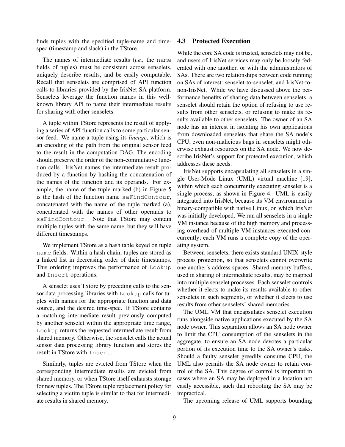finds tuples with the specified tuple-name and time-**4.3 Protected Execution** spec (timestamp and slack) in the TStore.

The names of intermediate results (*i.e.,* the name fields of tuples) must be consistent across senselets, uniquely describe results, and be easily computable. Recall that senselets are comprised of API function calls to libraries provided by the IrisNet SA platform. Senselets leverage the function names in this wellknown library API to name their intermediate results for sharing with other senselets.

A tuple within TStore represents the result of applying a series of API function calls to some particular sensor feed. We name a tuple using its *lineage*, which is an encoding of the path from the original sensor feed to the result in the computation DAG. The encoding should preserve the order of the non-commutative function calls. IrisNet names the intermediate result produced by a function by hashing the concatenation of the names of the function and its operands. For example, the name of the tuple marked (b) in Figure 5 is the hash of the function name saFindContour, concatenated with the name of the tuple marked (a), concatenated with the names of other operands to saFindContour. Note that TStore may contain multiple tuples with the same name, but they will have different timestamps.

We implement TStore as a hash table keyed on tuple name fields. Within a hash chain, tuples are stored as a linked list in decreasing order of their timestamps. This ordering improves the performance of Lookup and Insert operations.

A senselet uses TStore by preceding calls to the sensor data processing libraries with Lookup calls for tuples with names for the appropriate function and data source, and the desired time-spec. If TStore contains a matching intermediate result previously computed by another senselet within the appropriate time range, Lookup returns the requested intermediate result from shared memory. Otherwise, the senselet calls the actual sensor data processing library function and stores the result in TStore with Insert.

Similarly, tuples are evicted from TStore when the corresponding intermediate results are evicted from shared memory, or when TStore itself exhausts storage for new tuples. The TStore tuple replacement policy for selecting a victim tuple is similar to that for intermediate results in shared memory.

While the core SA code is trusted, senselets may not be, and users of IrisNet services may only be loosely federated with one another, or with the administrators of SAs. There are two relationships between code running on SAs of interest: senselet-to-senselet, and IrisNet-tonon-IrisNet. While we have discussed above the performance benefits of sharing data between senselets, a senselet should retain the option of refusing to use results from other senselets, or refusing to make its results available to other senselets. The owner of an SA node has an interest in isolating his own applications from downloaded senselets that share the SA node's CPU; even non-malicious bugs in senselets might otherwise exhaust resources on the SA node. We now describe IrisNet's support for protected execution, which addresses these needs.

IrisNet supports encapsulating all senselets in a single User-Mode Linux (UML) virtual machine [19], within which each concurrently executing senselet is a single process, as shown in Figure 4. UML is easily integrated into IrisNet, because its VM environment is binary-compatible with native Linux, on which IrisNet was initially developed. We run all senselets in a single VM instance because of the high memory and processing overhead of multiple VM instances executed concurrently; each VM runs a complete copy of the operating system.

Between senselets, there exists standard UNIX-style process protection, so that senselets cannot overwrite one another's address spaces. Shared memory buffers, used in sharing of intermediate results, may be mapped into multiple senselet processes. Each senselet controls whether it elects to make its results available to other senselets in such segments, or whether it elects to use results from other senselets' shared memories.

The UML VM that encapsulates senselet execution runs alongside native applications executed by the SA node owner. This separation allows an SA node owner to limit the CPU consumption of the senselets in the aggregate, to ensure an SA node devotes a particular portion of its execution time to the SA owner's tasks. Should a faulty senselet greedily consume CPU, the UML also permits the SA node owner to retain control of the SA. This degree of control is important in cases where an SA may be deployed in a location not easily accessible, such that rebooting the SA may be impractical.

The upcoming release of UML supports bounding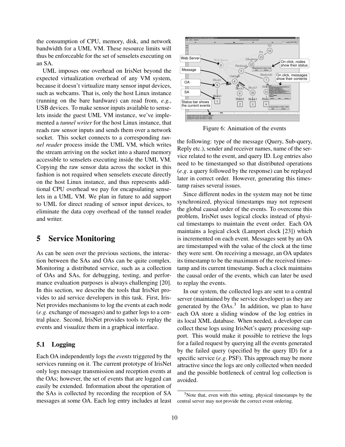the consumption of CPU, memory, disk, and network bandwidth for a UML VM. These resource limits will thus be enforceable for the set of senselets executing on an SA.

UML imposes one overhead on IrisNet beyond the expected virtualization overhead of any VM system, because it doesn't virtualize many sensor input devices, such as webcams. That is, only the host Linux instance (running on the bare hardware) can read from, *e.g.*, USB devices. To make sensor inputs available to senselets inside the guest UML VM instance, we've implemented a *tunnel writer* for the host Linux instance, that reads raw sensor inputs and sends them over a network socket. This socket connects to a corresponding *tunnel reader* process inside the UML VM, which writes the stream arriving on the socket into a shared memory accessible to senselets executing inside the UML VM. Copying the raw sensor data across the socket in this fashion is not required when senselets execute directly on the host Linux instance, and thus represents additional CPU overhead we pay for encapsulating senselets in a UML VM. We plan in future to add support to UML for direct reading of sensor input devices, to eliminate the data copy overhead of the tunnel reader and writer.

# **5 Service Monitoring**

As can be seen over the previous sections, the interaction between the SAs and OAs can be quite complex. Monitoring a distributed service, such as a collection of OAs and SAs, for debugging, testing, and performance evaluation purposes is always challenging [20]. In this section, we describe the tools that IrisNet provides to aid service developers in this task. First, Iris-Net provides mechanisms to log the events at each node (*e*.*g*. exchange of messages) and to gather logs to a central place. Second, IrisNet provides tools to replay the events and visualize them in a graphical interface.

#### **5.1 Logging**

Each OA independently logs the *events* triggered by the services running on it. The current prototype of IrisNet only logs message transmission and reception events at the OAs; however, the set of events that are logged can easily be extended. Information about the operation of the SAs is collected by recording the reception of SA messages at some OA. Each log entry includes at least



Figure 6: Animation of the events

the following: type of the message (Query, Sub-query, Reply etc.), sender and receiver names, name of the service related to the event, and query ID. Log entries also need to be timestamped so that distributed operations (*e*.*g*. a query followed by the response) can be replayed later in correct order. However, generating this timestamp raises several issues.

Since different nodes in the system may not be time synchronized, physical timestamps may not represent the global causal order of the events. To overcome this problem, IrisNet uses logical clocks instead of physical timestamps to maintain the event order. Each OA maintains a logical clock (Lamport clock [23]) which is incremented on each event. Messages sent by an OA are timestamped with the value of the clock at the time they were sent. On receiving a message, an OA updates its timestamp to be the maximum of the received timestamp and its current timestamp. Such a clock maintains the causal order of the events, which can later be used to replay the events.

In our system, the collected logs are sent to a central server (maintained by the service developer) as they are generated by the  $OAs.<sup>3</sup>$  In addition, we plan to have each OA store a sliding window of the log entries in its local XML database. When needed, a developer can collect these logs using IrisNet's query processing support. This would make it possible to retrieve the logs for a failed request by querying all the events generated by the failed query (specified by the query ID) for a specific service (*e*.*g*. PSF). This approach may be more attractive since the logs are only collected when needed and the possible bottleneck of central log collection is avoided.

 $3$ Note that, even with this setting, physical timestamps by the central server may not provide the correct event ordering.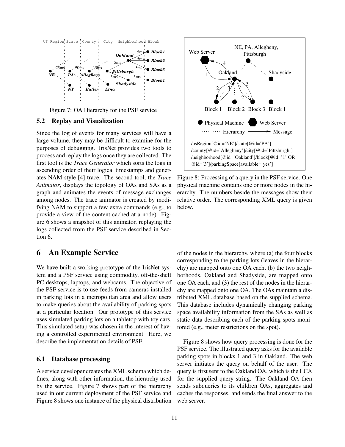

Figure 7: OA Hierarchy for the PSF service

#### **5.2 Replay and Visualization**

Since the log of events for many services will have a large volume, they may be difficult to examine for the purposes of debugging. IrisNet provides two tools to process and replay the logs once they are collected. The first tool is the *Trace Generator* which sorts the logs in ascending order of their logical timestamps and generates NAM-style [4] trace. The second tool, the *Trace Animator*, displays the topology of OAs and SAs as a graph and animates the events of message exchanges among nodes. The trace animator is created by modifying NAM to support a few extra commands (e.g., to provide a view of the content cached at a node). Figure 6 shows a snapshot of this animator, replaying the logs collected from the PSF service described in Section 6.

# **6 An Example Service**

We have built a working prototype of the IrisNet system and a PSF service using commodity, off-the-shelf PC desktops, laptops, and webcams. The objective of the PSF service is to use feeds from cameras installed in parking lots in a metropolitan area and allow users to make queries about the availability of parking spots at a particular location. Our prototype of this service uses simulated parking lots on a tabletop with toy cars. This simulated setup was chosen in the interest of having a controlled experimental environment. Here, we describe the implementation details of PSF.

#### **6.1 Database processing**

A service developer creates the XML schema which defines, along with other information, the hierarchy used by the service. Figure 7 shows part of the hierarchy used in our current deployment of the PSF service and Figure 8 shows one instance of the physical distribution



Figure 8: Processing of a query in the PSF service. One physical machine contains one or more nodes in the hierarchy. The numbers beside the messages show their relative order. The corresponding XML query is given below.

of the nodes in the hierarchy, where (a) the four blocks corresponding to the parking lots (leaves in the hierarchy) are mapped onto one OA each, (b) the two neighborhoods, Oakland and Shadyside, are mapped onto one OA each, and (3) the rest of the nodes in the hierarchy are mapped onto one OA. The OAs maintain a distributed XML database based on the supplied schema. This database includes dynamically changing parking space availability information from the SAs as well as static data describing each of the parking spots monitored (e.g., meter restrictions on the spot).

Figure 8 shows how query processing is done for the PSF service. The illustrated query asks for the available parking spots in blocks 1 and 3 in Oakland. The web server initiates the query on behalf of the user. The query is first sent to the Oakland OA, which is the LCA for the supplied query string. The Oakland OA then sends subqueries to its children OAs, aggregates and caches the responses, and sends the final answer to the web server.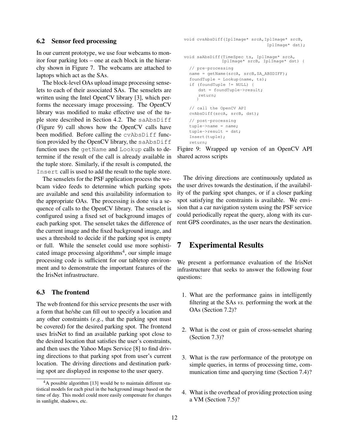#### **6.2 Sensor feed processing**

In our current prototype, we use four webcams to monitor four parking lots – one at each block in the hierarchy shown in Figure 7. The webcams are attached to laptops which act as the SAs.

The block-level OAs upload image processing senselets to each of their associated SAs. The senselets are written using the Intel OpenCV library [3], which performs the necessary image processing. The OpenCV library was modified to make effective use of the tuple store described in Section 4.2. The saAbsDiff (Figure 9) call shows how the OpenCV calls have been modified. Before calling the cvAbsDiff function provided by the OpenCV library, the saAbsDiff function uses the getName and Lookup calls to determine if the result of the call is already available in the tuple store. Similarly, if the result is computed, the Insert call is used to add the result to the tuple store.

The senselets for the PSF application process the webcam video feeds to determine which parking spots are available and send this availability information to the appropriate OAs. The processing is done via a sequence of calls to the OpenCV library. The senselet is configured using a fixed set of background images of each parking spot. The senselet takes the difference of the current image and the fixed background image, and uses a threshold to decide if the parking spot is empty or full. While the senselet could use more sophisticated image processing algorithms<sup>4</sup>, our simple image processing code is sufficient for our tabletop environment and to demonstrate the important features of the the IrisNet infrastructure.

#### **6.3 The frontend**

The web frontend for this service presents the user with a form that he/she can fill out to specify a location and any other constraints (*e*.*g*., that the parking spot must be covered) for the desired parking spot. The frontend uses IrisNet to find an available parking spot close to the desired location that satisfies the user's constraints, and then uses the Yahoo Maps Service [8] to find driving directions to that parking spot from user's current location. The driving directions and destination parking spot are displayed in response to the user query.

```
void saAbsDiff(TimeSpec ts, IplImage* srcA,
              IplImage* srcB, IplImage* dst) {
  // pre−processing
  cvAbsDiff(srcA, srcB, dst);
  // post−processing
  tuple−>name = name;
  tuple−>result = dst;
  Insert(tuple);
  return;
void cvsAbsDiff(IplImage* srcA,IplImage* srcB,
                                 IplImage* dst);
  name = getName(srcA, srcB, SA_ABSDIFF);
  foundTuple = Lookup(name, ts);if (foundTuple != NULL) {
     dst = foundTuple−>result;
     return;
     }
  // call the OpenCV API
```
Figure 9: Wrapped up version of an OpenCV API shared across scripts

The driving directions are continuously updated as the user drives towards the destination, if the availability of the parking spot changes, or if a closer parking spot satisfying the constraints is available. We envision that a car navigation system using the PSF service could periodically repeat the query, along with its current GPS coordinates, as the user nears the destination.

# **7 Experimental Results**

We present a performance evaluation of the IrisNet infrastructure that seeks to answer the following four questions:

- 1. What are the performance gains in intelligently filtering at the SAs *vs.* performing the work at the OAs (Section 7.2)?
- 2. What is the cost or gain of cross-senselet sharing (Section 7.3)?
- 3. What is the raw performance of the prototype on simple queries, in terms of processing time, communication time and querying time (Section 7.4)?
- 4. What is the overhead of providing protection using a VM (Section 7.5)?

<sup>&</sup>lt;sup>4</sup>A possible algorithm [13] would be to maintain different statistical models for each pixel in the background image based on the time of day. This model could more easily compensate for changes in sunlight, shadows, etc.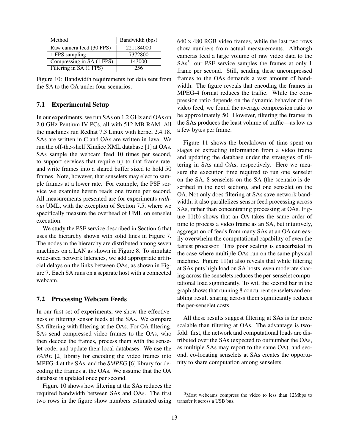| Method                    | Bandwidth (bps) |
|---------------------------|-----------------|
| Raw camera feed (30 FPS)  | 221184000       |
| 1 FPS sampling            | 7372800         |
| Compressing in SA (1 FPS) | 143000          |
| Filtering in SA (1 FPS)   | 256             |

Figure 10: Bandwidth requirements for data sent from the SA to the OA under four scenarios.

#### **7.1 Experimental Setup**

In our experiments, we run SAs on 1.2 GHz and OAs on 2.0 GHz Pentium IV PCs, all with 512 MB RAM. All the machines run Redhat 7.3 Linux with kernel 2.4.18. SAs are written in C and OAs are written in Java. We run the off-the-shelf Xindice XML database [1] at OAs. SAs sample the webcam feed 10 times per second, to support services that require up to that frame rate, and write frames into a shared buffer sized to hold 50 frames. Note, however, that senselets may elect to sample frames at a lower rate. For example, the PSF service we examine herein reads one frame per second. All measurements presented are for experiments *without* UML, with the exception of Section 7.5, where we specifically measure the overhead of UML on senselet execution.

We study the PSF service described in Section 6 that uses the hierarchy shown with solid lines in Figure 7. The nodes in the hierarchy are distributed among seven machines on a LAN as shown in Figure 8. To simulate wide-area network latencies, we add appropriate artificial delays on the links between OAs, as shown in Figure 7. Each SA runs on a separate host with a connected webcam.

#### **7.2 Processing Webcam Feeds**

In our first set of experiments, we show the effectiveness of filtering sensor feeds at the SAs. We compare SA filtering with filtering at the OAs. For OA filtering, SAs send compressed video frames to the OAs, who then decode the frames, process them with the senselet code, and update their local databases. We use the *FAME* [2] library for encoding the video frames into MPEG-4 at the SAs, and the *SMPEG* [6] library for decoding the frames at the OAs. We assume that the OA database is updated once per second.

Figure 10 shows how filtering at the SAs reduces the required bandwidth between SAs and OAs. The first two rows in the figure show numbers estimated using  $640 \times 480$  RGB video frames, while the last two rows show numbers from actual measurements. Although cameras feed a large volume of raw video data to the SAs<sup>5</sup>, our PSF service samples the frames at only 1 frame per second. Still, sending these uncompressed frames to the OAs demands a vast amount of bandwidth. The figure reveals that encoding the frames in MPEG-4 format reduces the traffic. While the compression ratio depends on the dynamic behavior of the video feed, we found the average compression ratio to be approximately 50. However, filtering the frames in the SAs produces the least volume of traffic—as low as a few bytes per frame.

Figure 11 shows the breakdown of time spent on stages of extracting information from a video frame and updating the database under the strategies of filtering in SAs and OAs, respectively. Here we measure the execution time required to run one senselet on the SA, 8 senselets on the SA (the scenario is described in the next section), and one senselet on the OA. Not only does filtering at SAs save network bandwidth; it also parallelizes sensor feed processing across SAs, rather than concentrating processing at OAs. Figure 11(b) shows that an OA takes the same order of time to process a video frame as an SA, but intuitively, aggregation of feeds from many SAs at an OA can easily overwhelm the computational capability of even the fastest processor. This poor scaling is exacerbated in the case where multiple OAs run on the same physical machine. Figure 11(a) also reveals that while filtering at SAs puts high load on SA hosts, even moderate sharing across the senselets reduces the per-senselet computational load significantly. To wit, the second bar in the graph shows that running 8 concurrent senselets and enabling result sharing across them significantly reduces the per-senselet costs.

All these results suggest filtering at SAs is far more scalable than filtering at OAs. The advantage is twofold: first, the network and computational loads are distributed over the SAs (expected to outnumber the OAs, as multiple SAs may report to the same OA), and second, co-locating senselets at SAs creates the opportunity to share computation among senselets.

<sup>5</sup>Most webcams compress the video to less than 12Mbps to transfer it across a USB bus.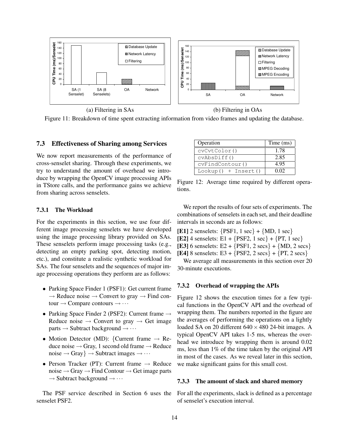

Figure 11: Breakdown of time spent extracting information from video frames and updating the database.

#### **7.3 Effectiveness of Sharing among Services**

We now report measurements of the performance of cross-senselet sharing. Through these experiments, we try to understand the amount of overhead we introduce by wrapping the OpenCV image processing APIs in TStore calls, and the performance gains we achieve from sharing across senselets.

For the experiments in this section, we use four different image processing senselets we have developed using the image processing library provided on SAs. These senselets perform image processing tasks (e.g., detecting an empty parking spot, detecting motion, etc.), and constitute a realistic synthetic workload for SAs. The four senselets and the sequences of major image processing operations they perform are as follows:

- Parking Space Finder 1 (PSF1): Get current frame  $\rightarrow$  Reduce noise  $\rightarrow$  Convert to gray  $\rightarrow$  Find contour  $\rightarrow$  Compare contours  $\rightarrow \cdots$
- Parking Space Finder 2 (PSF2): Current frame → Reduce noise  $\rightarrow$  Convert to gray  $\rightarrow$  Get image parts  $\rightarrow$  Subtract background  $\rightarrow \cdots$
- Motion Detector (MD): {Current frame  $\rightarrow$  Reduce noise  $\rightarrow$  Gray, 1 second old frame  $\rightarrow$  Reduce  $noise \rightarrow Gray$ }  $\rightarrow$  Subtract images  $\rightarrow \cdots$
- Person Tracker (PT): Current frame  $\rightarrow$  Reduce noise  $\rightarrow$  Gray  $\rightarrow$  Find Contour  $\rightarrow$  Get image parts  $\rightarrow$  Subtract background  $\rightarrow \cdots$

The PSF service described in Section 6 uses the senselet PSF2.

| Operation             | Time (ms) |
|-----------------------|-----------|
| cvCvtColor()          | 1.78      |
| cvAbsDiff()           | 2.85      |
| cvFindContour()       | 4.95      |
| $Lookup() + Insert()$ | በ በ2      |

Figure 12: Average time required by different operations.

We report the results of four sets of experiments. The combinations of senselets in each set, and their deadline intervals in seconds are as follows:

- **[E1]** 2 senselets: {PSF1, 1 sec} + {MD, 1 sec}
- **[E2]** 4 senselets: E1 +  $\{PSF2, 1 \text{ sec}\}$  +  $\{PT, 1 \text{ sec}\}$
- **[E3]** 6 senselets: E2 +  $\{PSF1, 2 \text{ secs}\}$  +  $\{MD, 2 \text{ secs}\}$
- **[E4]** 8 senselets: E3 +  $\{PSF2, 2 \text{ secs}\}$  +  $\{PT, 2 \text{ secs}\}$

We average all measurements in this section over 20 30-minute executions.

#### **7.3.2 Overhead of wrapping the APIs**

Figure 12 shows the execution times for a few typical functions in the OpenCV API and the overhead of wrapping them. The numbers reported in the figure are the averages of performing the operations on a lightly loaded SA on 20 different  $640 \times 480$  24-bit images. A typical OpenCV API takes 1-5 ms, whereas the overhead we introduce by wrapping them is around 0.02 ms, less than 1% of the time taken by the original API in most of the cases. As we reveal later in this section, we make significant gains for this small cost.

#### **7.3.3 The amount of slack and shared memory**

For all the experiments, slack is defined as a percentage of senselet's execution interval.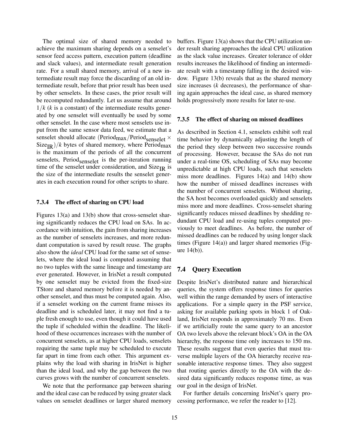The optimal size of shared memory needed to achieve the maximum sharing depends on a senselet's sensor feed access pattern, execution pattern (deadline and slack values), and intermediate result generation rate. For a small shared memory, arrival of a new intermediate result may force the discarding of an old intermediate result, before that prior result has been used by other senselets. In these cases, the prior result will be recomputed redundantly. Let us assume that around  $1/k$  ( $k$  is a constant) of the intermediate results generated by one senselet will eventually be used by some other senselet. In the case where most senselets use input from the same sensor data feed, we estimate that a senselet should allocate (Period $_{\text{max}}$ /Period $_{\text{senselet}} \times$  $Size_{IR}$ //k bytes of shared memory, where Period<sub>max</sub> is the maximum of the periods of all the concurrent senselets, Period $_{\text{senselet}}$  is the per-iteration running time of the senselet under consideration, and  $Size_{IR}$  is the size of the intermediate results the senselet generates in each execution round for other scripts to share.

#### **7.3.4 The effect of sharing on CPU load**

Figures 13(a) and 13(b) show that cross-senselet sharing significantly reduces the CPU load on SAs. In accordance with intuition, the gain from sharing increases as the number of senselets increases, and more redundant computation is saved by result reuse. The graphs also show the *ideal* CPU load for the same set of senselets, where the ideal load is computed assuming that no two tuples with the same lineage and timestamp are ever generated. However, in IrisNet a result computed by one senselet may be evicted from the fixed-size TStore and shared memory before it is needed by another senselet, and thus must be computed again. Also, if a senselet working on the current frame misses its deadline and is scheduled later, it may not find a tuple fresh enough to use, even though it could have used the tuple if scheduled within the deadline. The likelihood of these occurrences increases with the number of concurrent senselets, as at higher CPU loads, senselets requiring the same tuple may be scheduled to execute far apart in time from each other. This argument explains why the load with sharing in IrisNet is higher than the ideal load, and why the gap between the two curves grows with the number of concurrent senselets.

We note that the performance gap between sharing and the ideal case can be reduced by using greater slack values on senselet deadlines or larger shared memory buffers. Figure 13(a) shows that the CPU utilization under result sharing approaches the ideal CPU utilization as the slack value increases. Greater tolerance of older results increases the likelihood of finding an intermediate result with a timestamp falling in the desired window. Figure 13(b) reveals that as the shared memory size increases (*k* decreases), the performance of sharing again approaches the ideal case, as shared memory holds progressively more results for later re-use.

#### **7.3.5 The effect of sharing on missed deadlines**

As described in Section 4.1, senselets exhibit soft real time behavior by dynamically adjusting the length of the period they sleep between two successive rounds of processing. However, because the SAs do not run under a real-time OS, scheduling of SAs may become unpredictable at high CPU loads, such that senselets miss more deadlines. Figures 14(a) and 14(b) show how the number of missed deadlines increases with the number of concurrent senselets. Without sharing, the SA host becomes overloaded quickly and senselets miss more and more deadlines. Cross-senselet sharing significantly reduces missed deadlines by shedding redundant CPU load and re-using tuples computed previously to meet deadlines. As before, the number of missed deadlines can be reduced by using longer slack times (Figure 14(a)) and larger shared memories (Figure 14(b)).

### **7.4 Query Execution**

Despite IrisNet's distributed nature and hierarchical queries, the system offers response times for queries well within the range demanded by users of interactive applications. For a simple query in the PSF service, asking for available parking spots in block 1 of Oakland, IrisNet responds in approximately 70 ms. Even if we artificially route the same query to an ancestor OA two levels above the relevant block's OA in the OA hierarchy, the response time only increases to 150 ms. These results suggest that even queries that must traverse multiple layers of the OA hierarchy receive reasonable interactive response times. They also suggest that routing queries directly to the OA with the desired data significantly reduces response time, as was our goal in the design of IrisNet.

For further details concerning IrisNet's query processing performance, we refer the reader to [12].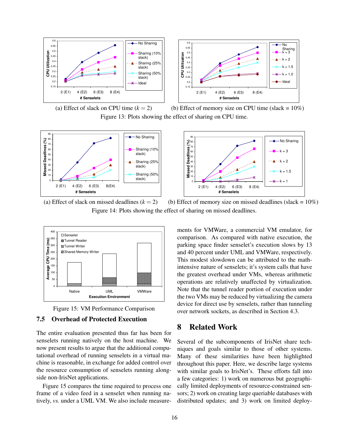

(a) Effect of slack on CPU time  $(k = 2)$  (b) Effect of memory size on CPU time (slack = 10%) Figure 13: Plots showing the effect of sharing on CPU time.





(a) Effect of slack on missed deadlines  $(k = 2)$  (b) Effect of memory size on missed deadlines (slack = 10%) Figure 14: Plots showing the effect of sharing on missed deadlines.



Figure 15: VM Performance Comparison

### **7.5 Overhead of Protected Execution**

The entire evaluation presented thus far has been for senselets running natively on the host machine. We now present results to argue that the additional computational overhead of running senselets in a virtual machine is reasonable, in exchange for added control over the resource consumption of senselets running alongside non-IrisNet applications.

Figure 15 compares the time required to process one frame of a video feed in a senselet when running natively, *vs.* under a UML VM. We also include measure-

ments for VMWare, a commercial VM emulator, for comparison. As compared with native execution, the parking space finder senselet's execution slows by 13 and 40 percent under UML and VMWare, respectively. This modest slowdown can be attributed to the mathintensive nature of senselets; it's system calls that have the greatest overhead under VMs, whereas arithmetic operations are relatively unaffected by virtualization. Note that the tunnel reader portion of execution under the two VMs may be reduced by virtualizing the camera device for direct use by senselets, rather than tunneling over network sockets, as described in Section 4.3.

# **8 Related Work**

Several of the subcomponents of IrisNet share techniques and goals similar to those of other systems. Many of these similarities have been highlighted throughout this paper. Here, we describe large systems with similar goals to IrisNet's. These efforts fall into a few categories: 1) work on numerous but geographically limited deployments of resource-constrained sensors; 2) work on creating large queriable databases with distributed updates; and 3) work on limited deploy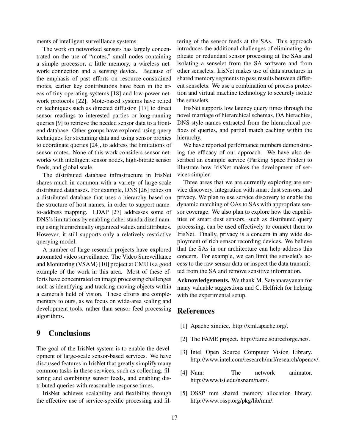ments of intelligent surveillance systems.

The work on networked sensors has largely concentrated on the use of "motes," small nodes containing a simple processor, a little memory, a wireless network connection and a sensing device. Because of the emphasis of past efforts on resource-constrained motes, earlier key contributions have been in the areas of tiny operating systems [18] and low-power network protocols [22]. Mote-based systems have relied on techniques such as directed diffusion [17] to direct sensor readings to interested parties or long-running queries [9] to retrieve the needed sensor data to a frontend database. Other groups have explored using query techniques for streaming data and using sensor proxies to coordinate queries [24], to address the limitations of sensor motes. None of this work considers sensor networks with intelligent sensor nodes, high-bitrate sensor feeds, and global scale.

The distributed database infrastructure in IrisNet shares much in common with a variety of large-scale distributed databases. For example, DNS [26] relies on a distributed database that uses a hierarchy based on the structure of host names, in order to support nameto-address mapping. LDAP [27] addresses some of DNS's limitations by enabling richer standardized naming using hierarchically organized values and attributes. However, it still supports only a relatively restrictive querying model.

A number of large research projects have explored automated video surveillance. The Video Sureveillance and Monitoring (VSAM) [10] project at CMU is a good example of the work in this area. Most of these efforts have concentrated on image processing challenges such as identifying and tracking moving objects within a camera's field of vision. These efforts are complementary to ours, as we focus on wide-area scaling and development tools, rather than sensor feed processing algorithms.

# **9 Conclusions**

The goal of the IrisNet system is to enable the development of large-scale sensor-based services. We have discussed features in IrisNet that greatly simplify many common tasks in these services, such as collecting, filtering and combining sensor feeds, and enabling distributed queries with reasonable response times.

IrisNet achieves scalability and flexibility through the effective use of service-specific processing and filtering of the sensor feeds at the SAs. This approach introduces the additional challenges of eliminating duplicate or redundant sensor processing at the SAs and isolating a senselet from the SA software and from other senselets. IrisNet makes use of data structures in shared memory segments to pass results between different senselets. We use a combination of process protection and virtual machine technology to securely isolate the senselets.

IrisNet supports low latency query times through the novel marriage of hierarchical schemas, OA hierachies, DNS-style names extracted from the hierarchical prefixes of queries, and partial match caching within the hierarchy.

We have reported performance numbers demonstrating the efficacy of our approach. We have also described an example service (Parking Space Finder) to illustrate how IrisNet makes the development of services simpler.

Three areas that we are currently exploring are service discovery, integration with smart dust sensors, and privacy. We plan to use service discovery to enable the dynamic matching of OAs to SAs with appropriate sensor coverage. We also plan to explore how the capabilities of smart dust sensors, such as distributed query processing, can be used effectively to connect them to IrisNet. Finally, privacy is a concern in any wide deployment of rich sensor recording devices. We believe that the SAs in our architecture can help address this concern. For example, we can limit the senselet's access to the raw sensor data or inspect the data transmitted from the SA and remove sensitive information.

**Acknowledgements.** We thank M. Satyanarayanan for many valuable suggestions and C. Helfrich for helping with the experimental setup.

# **References**

- [1] Apache xindice. http://xml.apache.org/.
- [2] The FAME project. http://fame.sourceforge.net/.
- [3] Intel Open Source Computer Vision Library. http://www.intel.com/research/mrl/research/opencv/.
- [4] Nam: The network animator. http://www.isi.edu/nsnam/nam/.
- [5] OSSP mm shared memory allocation library. http://www.ossp.org/pkg/lib/mm/.